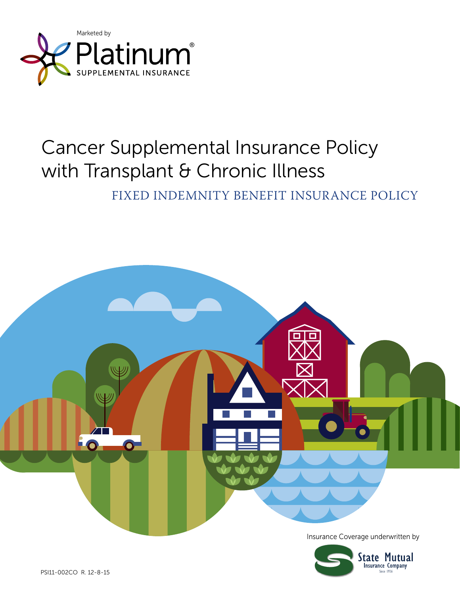

# Cancer Supplemental Insurance Policy with Transplant & Chronic Illness

FIXED INDEMNITY BENEFIT INSURANCE POLICY

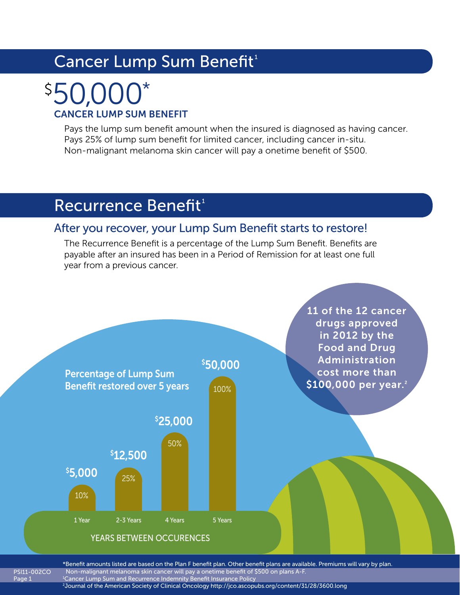# Cancer Lump Sum Benefit<sup>1</sup>

# CANCER LUMP SUM BENEFIT 50,000\* \$

Pays the lump sum benefit amount when the insured is diagnosed as having cancer. Pays 25% of lump sum benefit for limited cancer, including cancer in-situ. Non-malignant melanoma skin cancer will pay a onetime benefit of \$500.

# Recurrence Benefit<sup>1</sup>

Page 1

### After you recover, your Lump Sum Benefit starts to restore!

The Recurrence Benefit is a percentage of the Lump Sum Benefit. Benefits are payable after an insured has been in a Period of Remission for at least one full year from a previous cancer.



PSI11-002CO \*Benefit amounts listed are based on the Plan F benefit plan. Other benefit plans are available. Premiums will vary by plan. Non-malignant melanoma skin cancer will pay a onetime benefit of \$500 on plans A-F. 1 Cancer Lump Sum and Recurrence Indemnity Benefit Insurance Policy 2 Journal of the American Society of Clinical Oncology http://jco.ascopubs.org/content/31/28/3600.long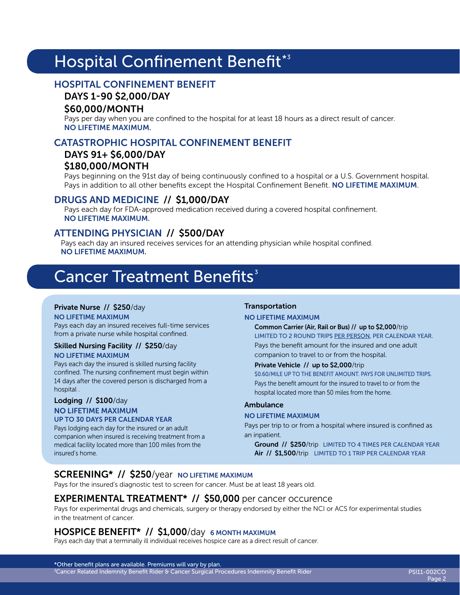# Hospital Confinement Benefit\*3

### HOSPITAL CONFINEMENT BENEFIT

#### DAYS 1-90 \$2,000/DAY

#### \$60,000/MONTH

Pays per day when you are confined to the hospital for at least 18 hours as a direct result of cancer. NO LIFETIME MAXIMUM.

### CATASTROPHIC HOSPITAL CONFINEMENT BENEFIT

#### DAYS 91+ \$6,000/DAY \$180,000/MONTH

Pays beginning on the 91st day of being continuously confined to a hospital or a U.S. Government hospital. Pays in addition to all other benefits except the Hospital Confinement Benefit. NO LIFETIME MAXIMUM.

#### DRUGS AND MEDICINE // \$1,000/DAY

Pays each day for FDA-approved medication received during a covered hospital confinement. NO LIFETIME MAXIMUM.

#### ATTENDING PHYSICIAN // \$500/DAY

Pays each day an insured receives services for an attending physician while hospital confined. NO LIFETIME MAXIMUM.

## **Cancer Treatment Benefits**<sup>3</sup>

#### Private Nurse // \$250/day

NO LIFETIME MAXIMUM Pays each day an insured receives full-time services from a private nurse while hospital confined.

#### Skilled Nursing Facility // \$250/day NO LIFETIME MAXIMUM

Pays each day the insured is skilled nursing facility confined. The nursing confinement must begin within 14 days after the covered person is discharged from a hospital .

#### Lodging // \$100/day NO LIFETIME MAXIMUM UP TO 30 DAYS PER CALENDAR YEAR

Pays lodging each day for the insured or an adult companion when insured is receiving treatment from a medical facility located more than 100 miles from the insured's home.

#### Transportation

#### NO LIFETIME MAXIMUM

Common Carrier (Air, Rail or Bus) // up to \$2,000/trip LIMITED TO 2 ROUND TRIPS PER PERSON, PER CALENDAR YEAR. Pays the benefit amount for the insured and one adult companion to travel to or from the hospital.

#### Private Vehicle // up to \$2,000/trip

\$0.60/MILE UP TO THE BENEFIT AMOUNT. PAYS FOR UNLIMITED TRIPS. Pays the benefit amount for the insured to travel to or from the hospital located more than 50 miles from the home.

#### Ambulance

#### NO LIFETIME MAXIMUM

Pays per trip to or from a hospital where insured is confined as an inpatient.

Ground // \$250/trip LIMITED TO 4 TIMES PER CALENDAR YEAR Air // \$1,500/trip LIMITED TO 1 TRIP PER CALENDAR YEAR

### SCREENING\* // \$250/year NO LIFETIME MAXIMUM

Pays for the insured's diagnostic test to screen for cancer. Must be at least 18 years old.

#### EXPERIMENTAL TREATMENT\* // \$50,000 per cancer occurence

Pays for experimental drugs and chemicals, surgery or therapy endorsed by either the NCI or ACS for experimental studies in the treatment of cancer.

#### HOSPICE BENEFIT<sup>\*</sup> // \$1,000/day 6 MONTH MAXIMUM

Pays each day that a terminally ill individual receives hospice care as a direct result of cancer.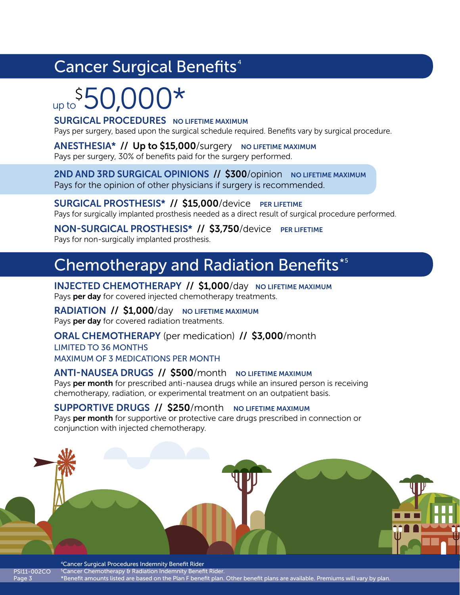# Cancer Surgical Benefits<sup>4</sup>

# up to  $$50,000*$

#### **SURGICAL PROCEDURES** NO LIFETIME MAXIMUM

Pays per surgery, based upon the surgical schedule required. Benefits vary by surgical procedure.

ANESTHESIA\* // Up to \$15,000/surgery NO LIFETIME MAXIMUM Pays per surgery, 30% of benefits paid for the surgery performed.

2ND AND 3RD SURGICAL OPINIONS // \$300/opinion NO LIFETIME MAXIMUM Pays for the opinion of other physicians if surgery is recommended.

SURGICAL PROSTHESIS<sup>\*</sup> // \$15,000/device PER LIFETIME Pays for surgically implanted prosthesis needed as a direct result of surgical procedure performed.

NON-SURGICAL PROSTHESIS\* // \$3,750/device PER LIFETIME Pays for non-surgically implanted prosthesis.

# **Chemotherapy and Radiation Benefits\*5**

INJECTED CHEMOTHERAPY // \$1,000/day NO LIFETIME MAXIMUM Pays per day for covered injected chemotherapy treatments.

RADIATION // \$1,000/day NO LIFETIME MAXIMUM Pays per day for covered radiation treatments.

Page 3

ORAL CHEMOTHERAPY (per medication) // \$3,000/month LIMITED TO 36 MONTHS MAXIMUM OF 3 MEDICATIONS PER MONTH

### ANTI-NAUSEA DRUGS // \$500/month NO LIFETIME MAXIMUM

Pays per month for prescribed anti-nausea drugs while an insured person is receiving chemotherapy, radiation, or experimental treatment on an outpatient basis.

#### SUPPORTIVE DRUGS // \$250/month NO LIFETIME MAXIMUM

Pays per month for supportive or protective care drugs prescribed in connection or conjunction with injected chemotherapy.



PSI11-002CO 4Cancer Surgical Procedures Indemnity Benefit Rider <sup>5</sup> Cancer Chemotherapy & Radiation Indemnity Benefit Rider. \*Benefit amounts listed are based on the Plan F benefit plan. Other benefit plans are available. Premiums will vary by plan.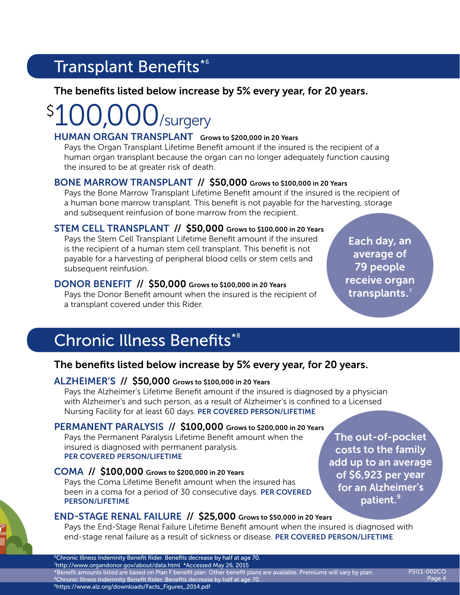# Transplant Benefits\*6

### The benefits listed below increase by 5% every year, for 20 years.

### /surgery  $\boldsymbol{\zeta}$

#### HUMAN ORGAN TRANSPLANT Grows to \$200,000 in 20 Years

Pays the Organ Transplant Lifetime Benefit amount if the insured is the recipient of a human organ transplant because the organ can no longer adequately function causing the insured to be at greater risk of death.

### BONE MARROW TRANSPLANT // \$50,000 Grows to \$100,000 in 20 Years

Pays the Bone Marrow Transplant Lifetime Benefit amount if the insured is the recipient of a human bone marrow transplant. This benefit is not payable for the harvesting, storage and subsequent reinfusion of bone marrow from the recipient.

### STEM CELL TRANSPLANT // \$50,000 Grows to \$100,000 in 20 Years

Pays the Stem Cell Transplant Lifetime Benefit amount if the insured is the recipient of a human stem cell transplant. This benefit is not payable for a harvesting of peripheral blood cells or stem cells and subsequent reinfusion.

### DONOR BENEFIT // \$50,000 Grows to \$100,000 in 20 Years

Pays the Donor Benefit amount when the insured is the recipient of a transplant covered under this Rider.

Each day, an average of 79 people receive organ transplants.<sup>7</sup>

# Chronic Illness Benefits\*<sup>8</sup>

### The benefits listed below increase by 5% every year, for 20 years.

### ALZHEIMER'S // \$50,000 Grows to \$100,000 in 20 Years

Pays the Alzheimer's Lifetime Benefit amount if the insured is diagnosed by a physician with Alzheimer's and such person, as a result of Alzheimer's is confined to a Licensed Nursing Facility for at least 60 days. PER COVERED PERSON/LIFETIME

### PERMANENT PARALYSIS // \$100,000 Grows to \$200,000 in 20 Years

Pays the Permanent Paralysis Lifetime Benefit amount when the insured is diagnosed with permanent paralysis. PER COVERED PERSON/LIFETIME

### COMA // \$100,000 Grows to \$200,000 in 20 Years

Pays the Coma Lifetime Benefit amount when the insured has been in a coma for a period of 30 consecutive days. PER COVERED PERSON/LIFETIME

The out-of-pocket costs to the family add up to an average of \$6,923 per year for an Alzheimer's patient.<sup>9</sup>

### END-STAGE RENAL FAILURE // \$25,000 Grows to \$50,000 in 20 Years

Pays the End-Stage Renal Failure Lifetime Benefit amount when the insured is diagnosed with end-stage renal failure as a result of sickness or disease. PER COVERED PERSON/LIFETIME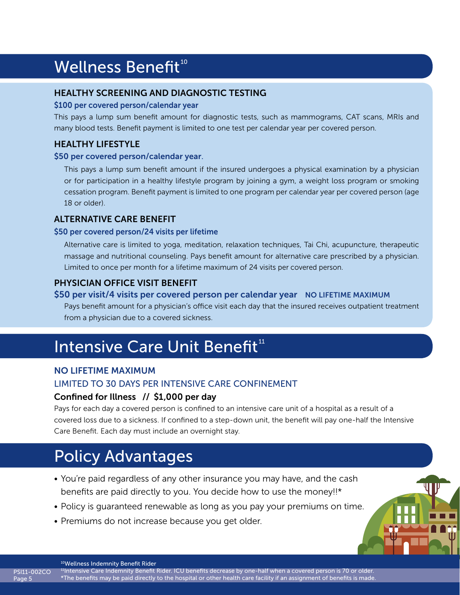# Wellness Benefit<sup>10</sup>

#### HEALTHY SCREENING AND DIAGNOSTIC TESTING

#### \$100 per covered person/calendar year

This pays a lump sum benefit amount for diagnostic tests, such as mammograms, CAT scans, MRIs and many blood tests. Benefit payment is limited to one test per calendar year per covered person.

### HEALTHY LIFESTYLE

#### \$50 per covered person/calendar year.

This pays a lump sum benefit amount if the insured undergoes a physical examination by a physician or for participation in a healthy lifestyle program by joining a gym, a weight loss program or smoking cessation program. Benefit payment is limited to one program per calendar year per covered person (age 18 or older).

#### ALTERNATIVE CARE BENEFIT

#### \$50 per covered person/24 visits per lifetime

Alternative care is limited to yoga, meditation, relaxation techniques, Tai Chi, acupuncture, therapeutic massage and nutritional counseling. Pays benefit amount for alternative care prescribed by a physician. Limited to once per month for a lifetime maximum of 24 visits per covered person.

### PHYSICIAN OFFICE VISIT BENEFIT

#### \$50 per visit/4 visits per covered person per calendar year NO LIFETIME MAXIMUM

Pays benefit amount for a physician's office visit each day that the insured receives outpatient treatment from a physician due to a covered sickness.

# Intensive Care Unit Benefit<sup>11</sup>

#### NO LIFETIME MAXIMUM

#### LIMITED TO 30 DAYS PER INTENSIVE CARE CONFINEMENT

### Confined for Illness // \$1,000 per day

Pays for each day a covered person is confined to an intensive care unit of a hospital as a result of a covered loss due to a sickness. If confined to a step-down unit, the benefit will pay one-half the Intensive Care Benefit. Each day must include an overnight stay.

# Policy Advantages

- You're paid regardless of any other insurance you may have, and the cash benefits are paid directly to you. You decide how to use the money!!\*
- Policy is guaranteed renewable as long as you pay your premiums on time.
- Premiums do not increase because you get older.



<sup>10</sup>Wellness Indemnity Benefit Rider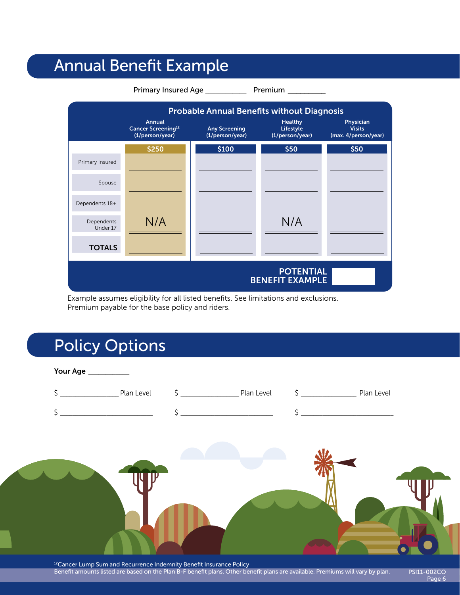# Annual Benefit Example



Example assumes eligibility for all listed benefits. See limitations and exclusions. Premium payable for the base policy and riders.

# Policy Options